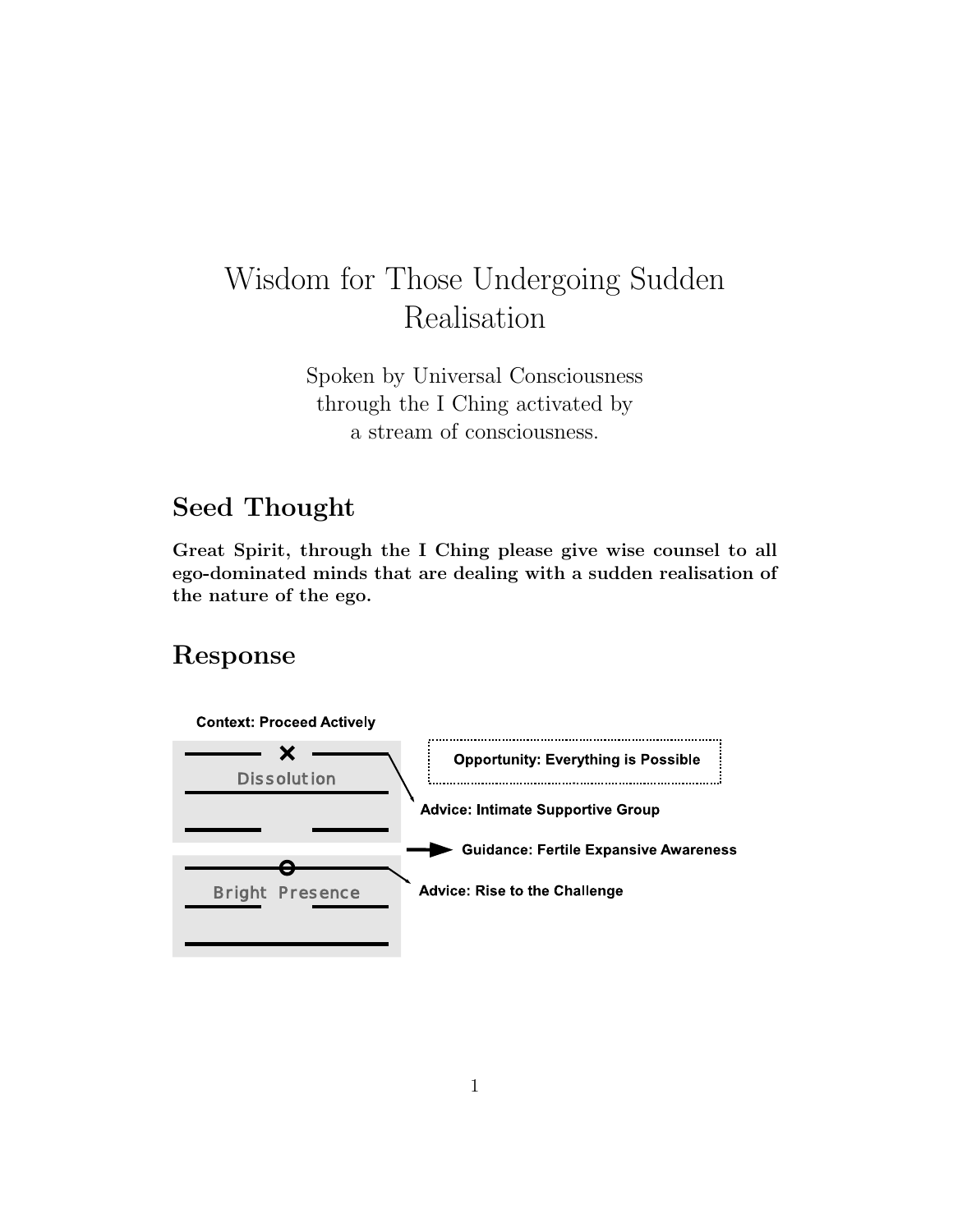# Wisdom for Those Undergoing Sudden Realisation

Spoken by Universal Consciousness through the I Ching activated by a stream of consciousness.

# Seed Thought

Great Spirit, through the I Ching please give wise counsel to all ego-dominated minds that are dealing with a sudden realisation of the nature of the ego.

# Response

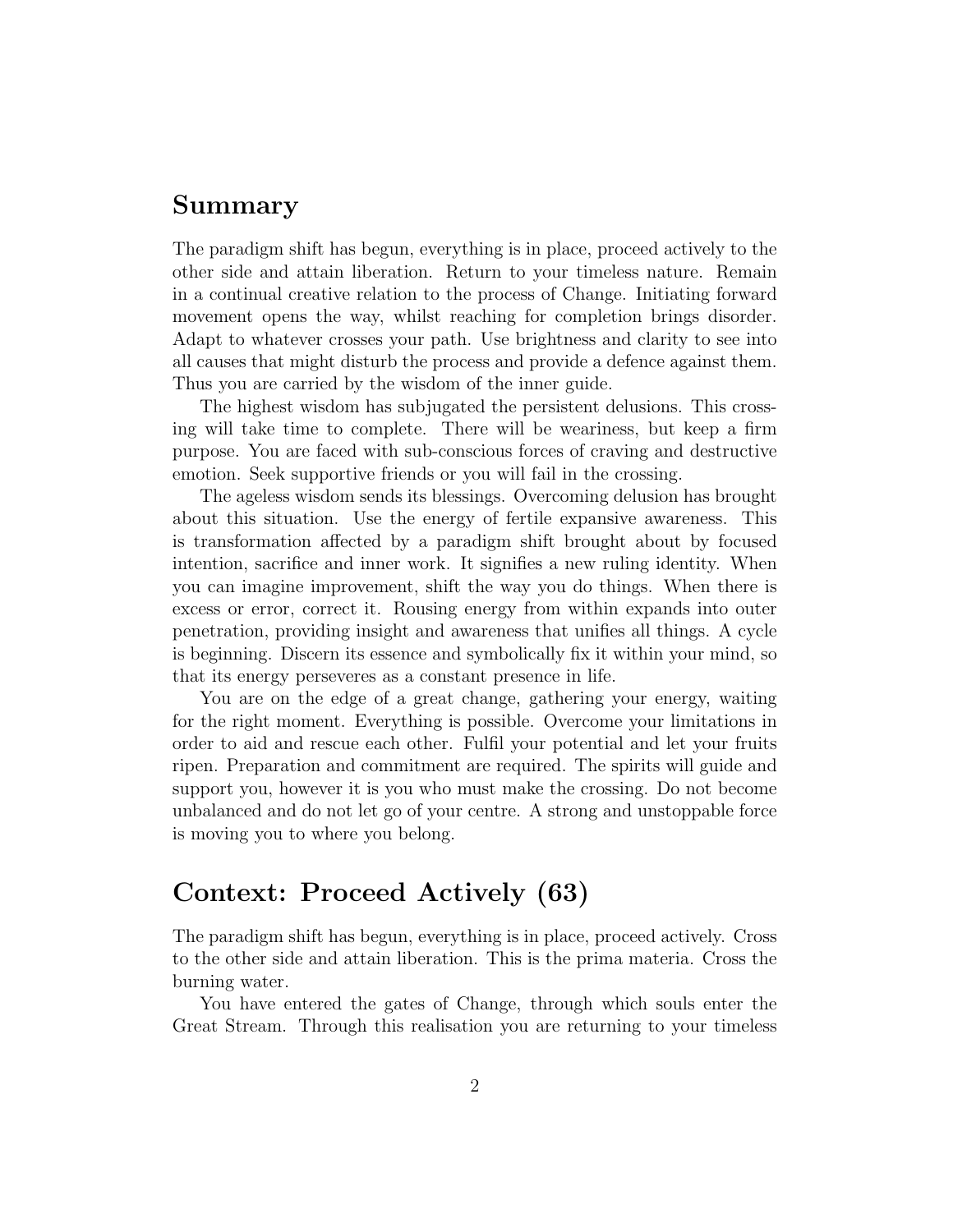### Summary

The paradigm shift has begun, everything is in place, proceed actively to the other side and attain liberation. Return to your timeless nature. Remain in a continual creative relation to the process of Change. Initiating forward movement opens the way, whilst reaching for completion brings disorder. Adapt to whatever crosses your path. Use brightness and clarity to see into all causes that might disturb the process and provide a defence against them. Thus you are carried by the wisdom of the inner guide.

The highest wisdom has subjugated the persistent delusions. This crossing will take time to complete. There will be weariness, but keep a firm purpose. You are faced with sub-conscious forces of craving and destructive emotion. Seek supportive friends or you will fail in the crossing.

The ageless wisdom sends its blessings. Overcoming delusion has brought about this situation. Use the energy of fertile expansive awareness. This is transformation affected by a paradigm shift brought about by focused intention, sacrifice and inner work. It signifies a new ruling identity. When you can imagine improvement, shift the way you do things. When there is excess or error, correct it. Rousing energy from within expands into outer penetration, providing insight and awareness that unifies all things. A cycle is beginning. Discern its essence and symbolically fix it within your mind, so that its energy perseveres as a constant presence in life.

You are on the edge of a great change, gathering your energy, waiting for the right moment. Everything is possible. Overcome your limitations in order to aid and rescue each other. Fulfil your potential and let your fruits ripen. Preparation and commitment are required. The spirits will guide and support you, however it is you who must make the crossing. Do not become unbalanced and do not let go of your centre. A strong and unstoppable force is moving you to where you belong.

### Context: Proceed Actively (63)

The paradigm shift has begun, everything is in place, proceed actively. Cross to the other side and attain liberation. This is the prima materia. Cross the burning water.

You have entered the gates of Change, through which souls enter the Great Stream. Through this realisation you are returning to your timeless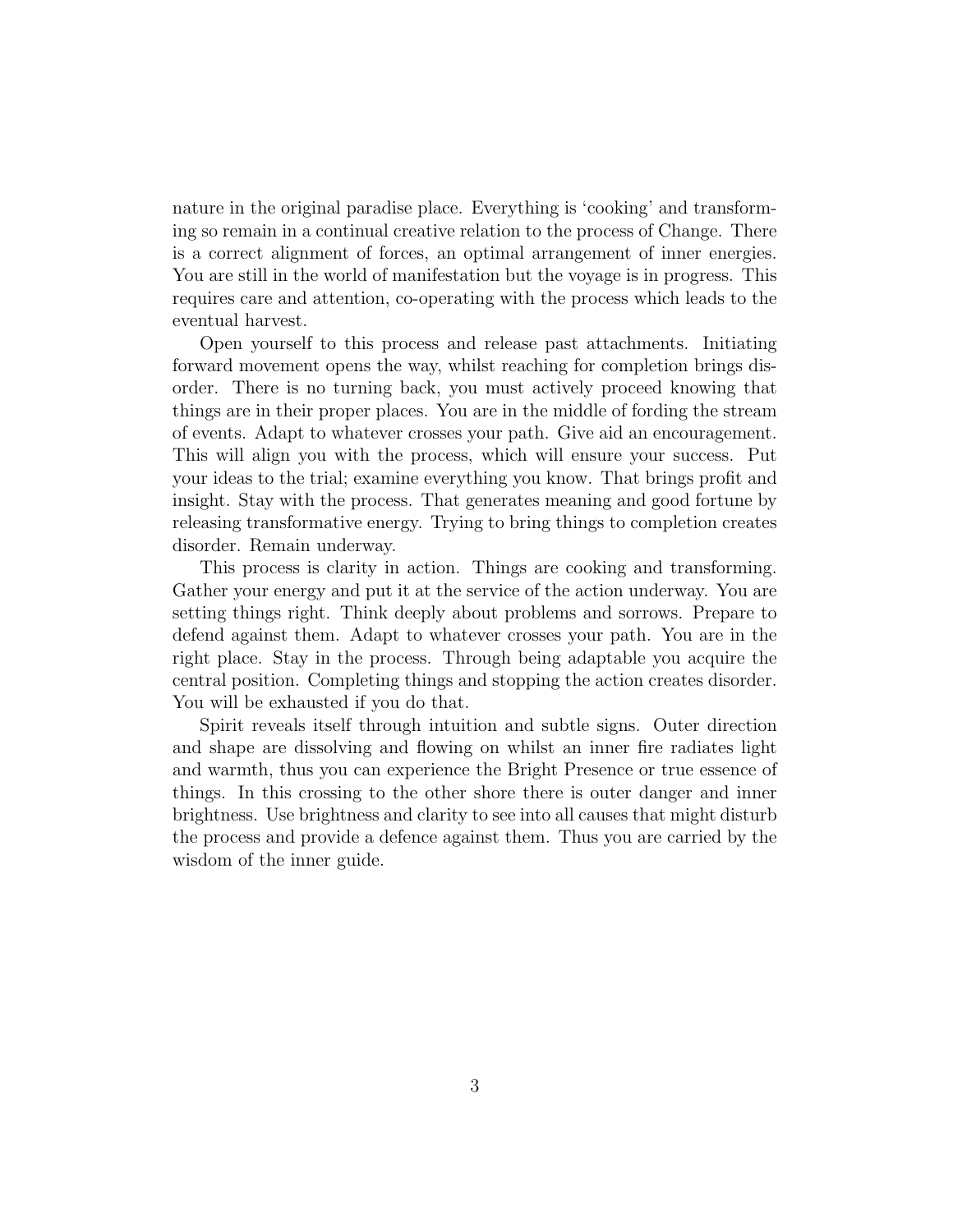nature in the original paradise place. Everything is 'cooking' and transforming so remain in a continual creative relation to the process of Change. There is a correct alignment of forces, an optimal arrangement of inner energies. You are still in the world of manifestation but the voyage is in progress. This requires care and attention, co-operating with the process which leads to the eventual harvest.

Open yourself to this process and release past attachments. Initiating forward movement opens the way, whilst reaching for completion brings disorder. There is no turning back, you must actively proceed knowing that things are in their proper places. You are in the middle of fording the stream of events. Adapt to whatever crosses your path. Give aid an encouragement. This will align you with the process, which will ensure your success. Put your ideas to the trial; examine everything you know. That brings profit and insight. Stay with the process. That generates meaning and good fortune by releasing transformative energy. Trying to bring things to completion creates disorder. Remain underway.

This process is clarity in action. Things are cooking and transforming. Gather your energy and put it at the service of the action underway. You are setting things right. Think deeply about problems and sorrows. Prepare to defend against them. Adapt to whatever crosses your path. You are in the right place. Stay in the process. Through being adaptable you acquire the central position. Completing things and stopping the action creates disorder. You will be exhausted if you do that.

Spirit reveals itself through intuition and subtle signs. Outer direction and shape are dissolving and flowing on whilst an inner fire radiates light and warmth, thus you can experience the Bright Presence or true essence of things. In this crossing to the other shore there is outer danger and inner brightness. Use brightness and clarity to see into all causes that might disturb the process and provide a defence against them. Thus you are carried by the wisdom of the inner guide.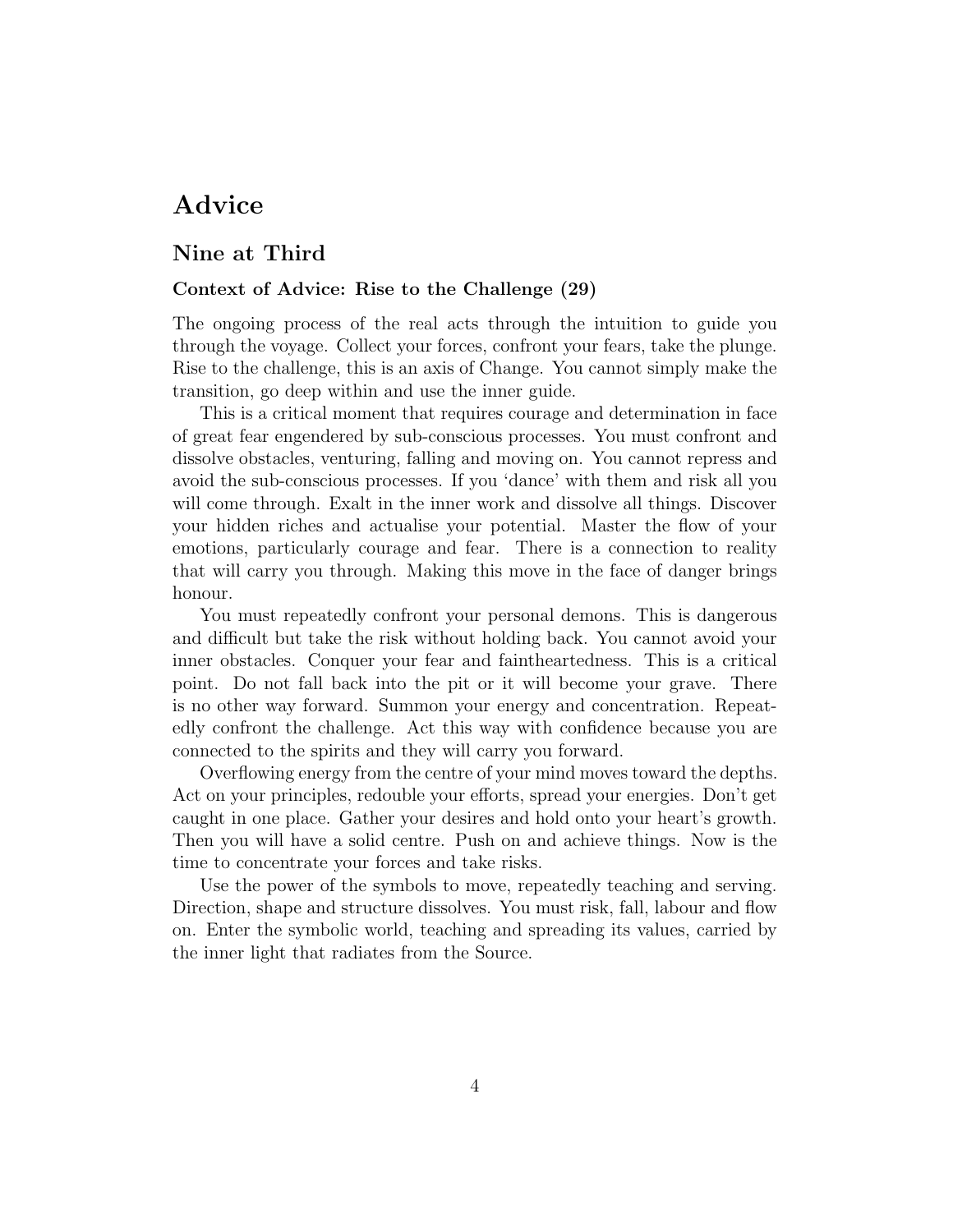# Advice

### Nine at Third

#### Context of Advice: Rise to the Challenge (29)

The ongoing process of the real acts through the intuition to guide you through the voyage. Collect your forces, confront your fears, take the plunge. Rise to the challenge, this is an axis of Change. You cannot simply make the transition, go deep within and use the inner guide.

This is a critical moment that requires courage and determination in face of great fear engendered by sub-conscious processes. You must confront and dissolve obstacles, venturing, falling and moving on. You cannot repress and avoid the sub-conscious processes. If you 'dance' with them and risk all you will come through. Exalt in the inner work and dissolve all things. Discover your hidden riches and actualise your potential. Master the flow of your emotions, particularly courage and fear. There is a connection to reality that will carry you through. Making this move in the face of danger brings honour.

You must repeatedly confront your personal demons. This is dangerous and difficult but take the risk without holding back. You cannot avoid your inner obstacles. Conquer your fear and faintheartedness. This is a critical point. Do not fall back into the pit or it will become your grave. There is no other way forward. Summon your energy and concentration. Repeatedly confront the challenge. Act this way with confidence because you are connected to the spirits and they will carry you forward.

Overflowing energy from the centre of your mind moves toward the depths. Act on your principles, redouble your efforts, spread your energies. Don't get caught in one place. Gather your desires and hold onto your heart's growth. Then you will have a solid centre. Push on and achieve things. Now is the time to concentrate your forces and take risks.

Use the power of the symbols to move, repeatedly teaching and serving. Direction, shape and structure dissolves. You must risk, fall, labour and flow on. Enter the symbolic world, teaching and spreading its values, carried by the inner light that radiates from the Source.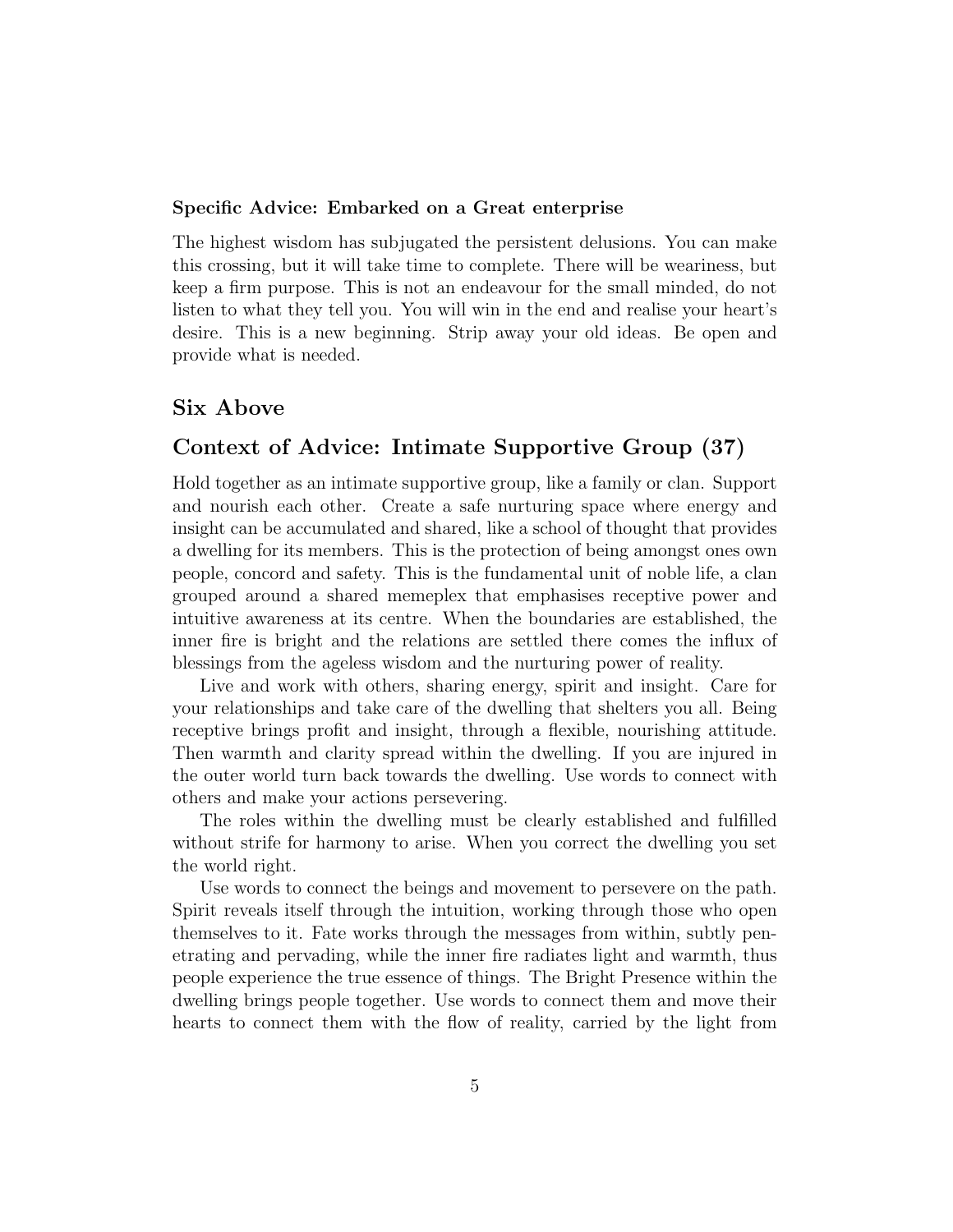#### Specific Advice: Embarked on a Great enterprise

The highest wisdom has subjugated the persistent delusions. You can make this crossing, but it will take time to complete. There will be weariness, but keep a firm purpose. This is not an endeavour for the small minded, do not listen to what they tell you. You will win in the end and realise your heart's desire. This is a new beginning. Strip away your old ideas. Be open and provide what is needed.

### Six Above

### Context of Advice: Intimate Supportive Group (37)

Hold together as an intimate supportive group, like a family or clan. Support and nourish each other. Create a safe nurturing space where energy and insight can be accumulated and shared, like a school of thought that provides a dwelling for its members. This is the protection of being amongst ones own people, concord and safety. This is the fundamental unit of noble life, a clan grouped around a shared memeplex that emphasises receptive power and intuitive awareness at its centre. When the boundaries are established, the inner fire is bright and the relations are settled there comes the influx of blessings from the ageless wisdom and the nurturing power of reality.

Live and work with others, sharing energy, spirit and insight. Care for your relationships and take care of the dwelling that shelters you all. Being receptive brings profit and insight, through a flexible, nourishing attitude. Then warmth and clarity spread within the dwelling. If you are injured in the outer world turn back towards the dwelling. Use words to connect with others and make your actions persevering.

The roles within the dwelling must be clearly established and fulfilled without strife for harmony to arise. When you correct the dwelling you set the world right.

Use words to connect the beings and movement to persevere on the path. Spirit reveals itself through the intuition, working through those who open themselves to it. Fate works through the messages from within, subtly penetrating and pervading, while the inner fire radiates light and warmth, thus people experience the true essence of things. The Bright Presence within the dwelling brings people together. Use words to connect them and move their hearts to connect them with the flow of reality, carried by the light from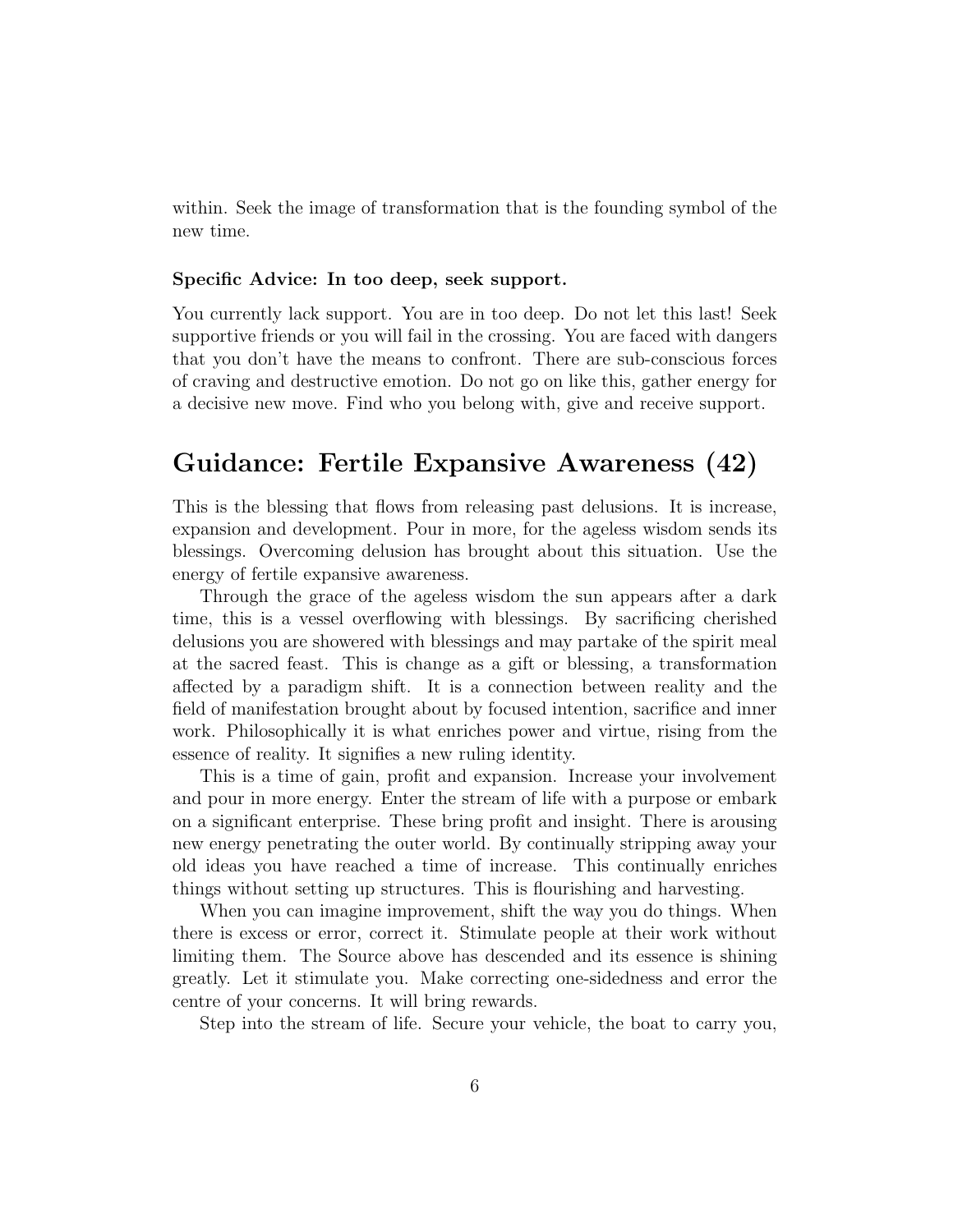within. Seek the image of transformation that is the founding symbol of the new time.

#### Specific Advice: In too deep, seek support.

You currently lack support. You are in too deep. Do not let this last! Seek supportive friends or you will fail in the crossing. You are faced with dangers that you don't have the means to confront. There are sub-conscious forces of craving and destructive emotion. Do not go on like this, gather energy for a decisive new move. Find who you belong with, give and receive support.

### Guidance: Fertile Expansive Awareness (42)

This is the blessing that flows from releasing past delusions. It is increase, expansion and development. Pour in more, for the ageless wisdom sends its blessings. Overcoming delusion has brought about this situation. Use the energy of fertile expansive awareness.

Through the grace of the ageless wisdom the sun appears after a dark time, this is a vessel overflowing with blessings. By sacrificing cherished delusions you are showered with blessings and may partake of the spirit meal at the sacred feast. This is change as a gift or blessing, a transformation affected by a paradigm shift. It is a connection between reality and the field of manifestation brought about by focused intention, sacrifice and inner work. Philosophically it is what enriches power and virtue, rising from the essence of reality. It signifies a new ruling identity.

This is a time of gain, profit and expansion. Increase your involvement and pour in more energy. Enter the stream of life with a purpose or embark on a significant enterprise. These bring profit and insight. There is arousing new energy penetrating the outer world. By continually stripping away your old ideas you have reached a time of increase. This continually enriches things without setting up structures. This is flourishing and harvesting.

When you can imagine improvement, shift the way you do things. When there is excess or error, correct it. Stimulate people at their work without limiting them. The Source above has descended and its essence is shining greatly. Let it stimulate you. Make correcting one-sidedness and error the centre of your concerns. It will bring rewards.

Step into the stream of life. Secure your vehicle, the boat to carry you,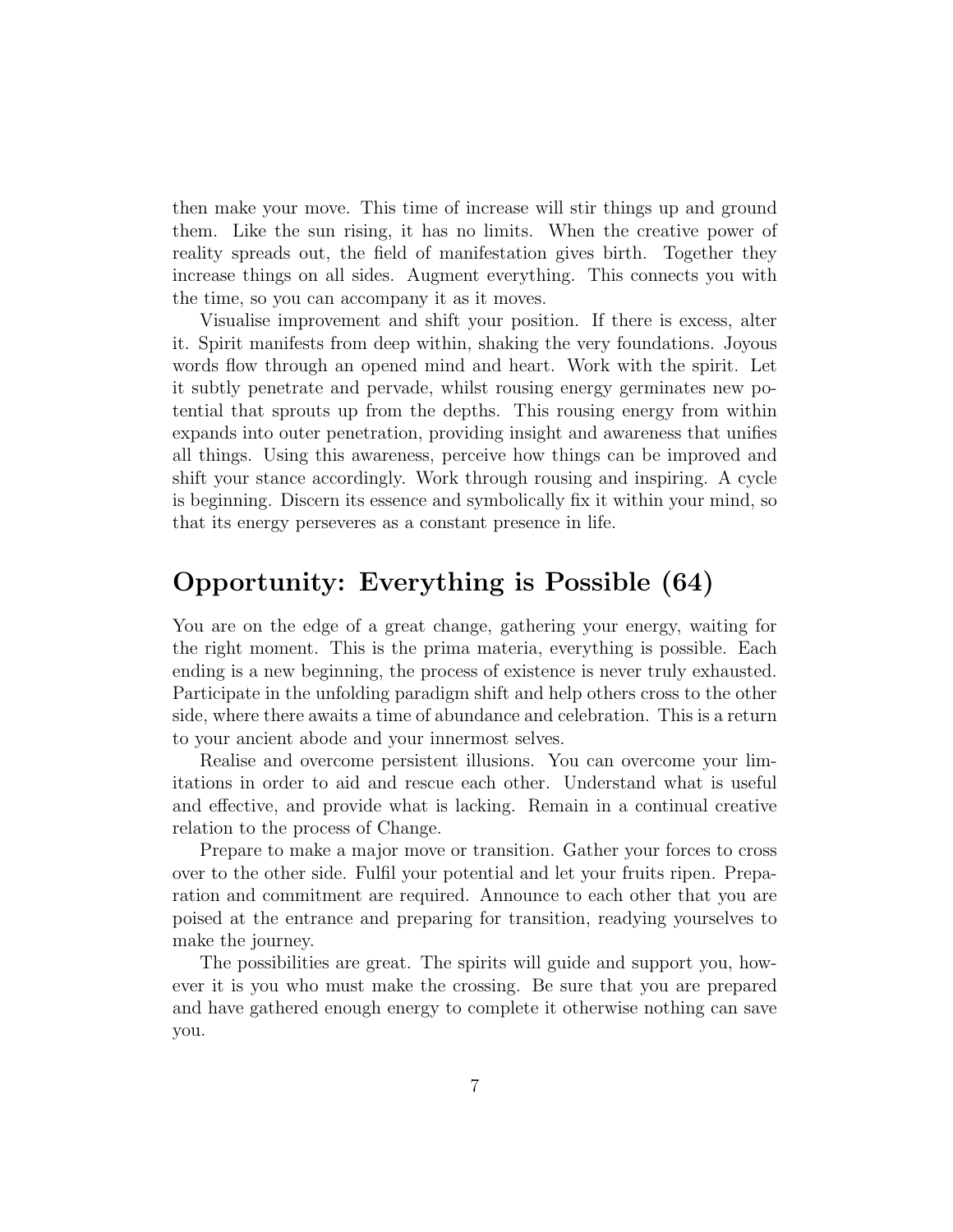then make your move. This time of increase will stir things up and ground them. Like the sun rising, it has no limits. When the creative power of reality spreads out, the field of manifestation gives birth. Together they increase things on all sides. Augment everything. This connects you with the time, so you can accompany it as it moves.

Visualise improvement and shift your position. If there is excess, alter it. Spirit manifests from deep within, shaking the very foundations. Joyous words flow through an opened mind and heart. Work with the spirit. Let it subtly penetrate and pervade, whilst rousing energy germinates new potential that sprouts up from the depths. This rousing energy from within expands into outer penetration, providing insight and awareness that unifies all things. Using this awareness, perceive how things can be improved and shift your stance accordingly. Work through rousing and inspiring. A cycle is beginning. Discern its essence and symbolically fix it within your mind, so that its energy perseveres as a constant presence in life.

### Opportunity: Everything is Possible (64)

You are on the edge of a great change, gathering your energy, waiting for the right moment. This is the prima materia, everything is possible. Each ending is a new beginning, the process of existence is never truly exhausted. Participate in the unfolding paradigm shift and help others cross to the other side, where there awaits a time of abundance and celebration. This is a return to your ancient abode and your innermost selves.

Realise and overcome persistent illusions. You can overcome your limitations in order to aid and rescue each other. Understand what is useful and effective, and provide what is lacking. Remain in a continual creative relation to the process of Change.

Prepare to make a major move or transition. Gather your forces to cross over to the other side. Fulfil your potential and let your fruits ripen. Preparation and commitment are required. Announce to each other that you are poised at the entrance and preparing for transition, readying yourselves to make the journey.

The possibilities are great. The spirits will guide and support you, however it is you who must make the crossing. Be sure that you are prepared and have gathered enough energy to complete it otherwise nothing can save you.